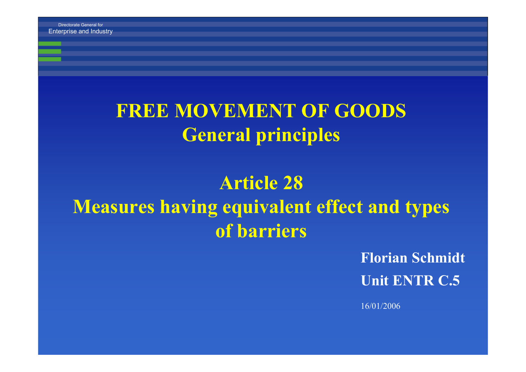# **FREE MOVEMENT OF GOODSGeneral principles**

# **Article 28Measures having equivalent effect and types of barriers**

**Florian Schmidt Unit ENTR C.5**

16/01/2006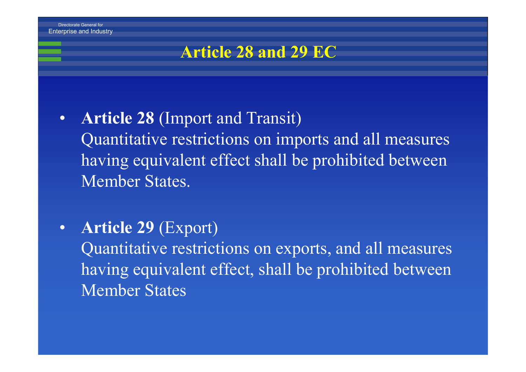

# **Article 28 and 29 EC**

- $\bullet$  **Article 28** (Import and Transit) Quantitative restrictions on imports and all measures having equivalent effect shall be prohibited between Member States.
- • **Article 29** (Export) Quantitative restrictions on exports, and all measures having equivalent effect, shall be prohibited between Member States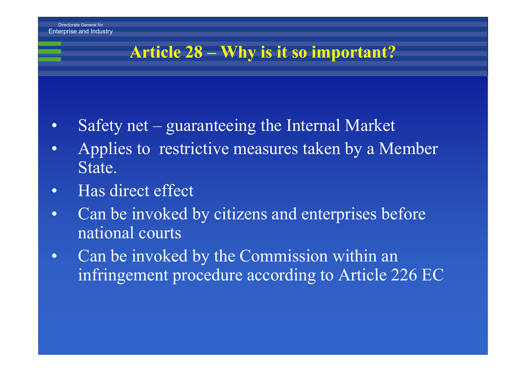# **Article 28 – Why is it so important?**

- •Safety net – guaranteeing the Internal Market
- • Applies to restrictive measures taken by a Member State.
- •Has direct effect
- $\bullet$  Can be invoked by citizens and enterprises before national courts
- • Can be invoked by the Commission within an infringement procedure according to Article 226 EC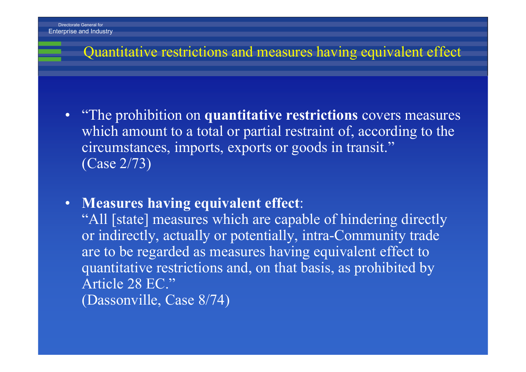#### Quantitative restrictions and measures having equivalent effect

- "The prohibition on **quantitative restrictions** covers measures which amount to a total or partial restraint of, according to the circumstances, imports, exports or goods in transit." (Case 2/73)
- **Measures having equivalent effect**:

"All [state] measures which are capable of hindering directly or indirectly, actually or potentially, intra-Community trade are to be regarded as measures having equivalent effect to quantitative restrictions and, on that basis, as prohibited by Article 28 EC."(Dassonville, Case 8/74)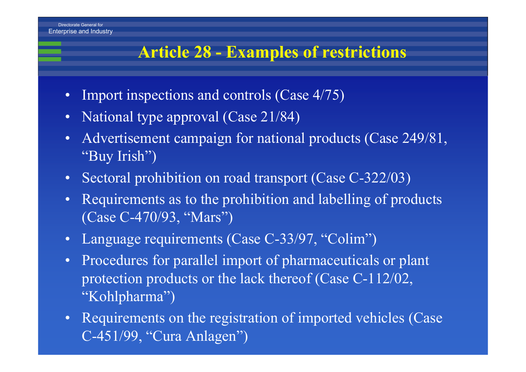## **Article 28 - Examples of restrictions**

- $\bullet$ Import inspections and controls (Case 4/75)
- $\bullet$ National type approval (Case 21/84)
- • Advertisement campaign for national products (Case 249/81, "Buy Irish")
- Sectoral prohibition on road transport (Case C-322/03)
- Requirements as to the prohibition and labelling of products (Case C-470/93, "Mars")
- $\bullet$ Language requirements (Case C-33/97, "Colim")
- $\bullet$  Procedures for parallel import of pharmaceuticals or plant protection products or the lack thereof (Case C-112/02, "Kohlpharma")
- Requirements on the registration of imported vehicles (Case C-451/99, "Cura Anlagen")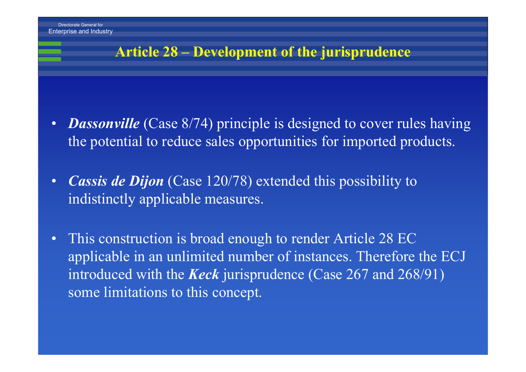Enterprise and Industry

#### **Article 28 – Development of the jurisprudence**

- $\bullet$ • **Dassonville** (Case 8/74) principle is designed to cover rules having the potential to reduce sales opportunities for imported products.
- • *Cassis de Dijon* (Case 120/78) extended this possibility to indistinctly applicable measures.
- • This construction is broad enough to render Article 28 EC applicable in an unlimited number of instances. Therefore the ECJ introduced with the *Keck* jurisprudence (Case 267 and 268/91) some limitations to this concept.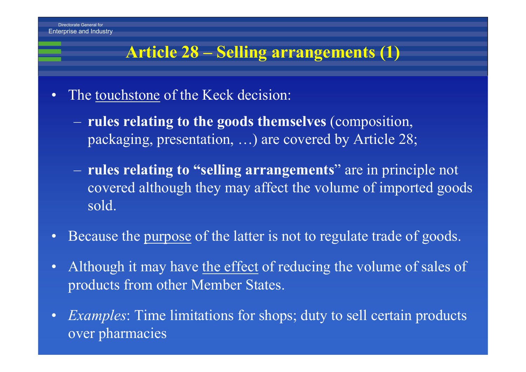# **Article 28 – Selling arrangements (1)**

- • The touchstone of the Keck decision:
	- **rules relating to the goods themselves** (composition, packaging, presentation, …) are covered by Article 28;
	- **rules relating to "selling arrangements**" are in principle not covered although they may affect the volume of imported goods sold.
- $\bullet$ Because the purpose of the latter is not to regulate trade of goods.
- $\bullet$ Although it may have the effect of reducing the volume of sales of products from other Member States.
- •*Examples*: Time limitations for shops; duty to sell certain products over pharmacies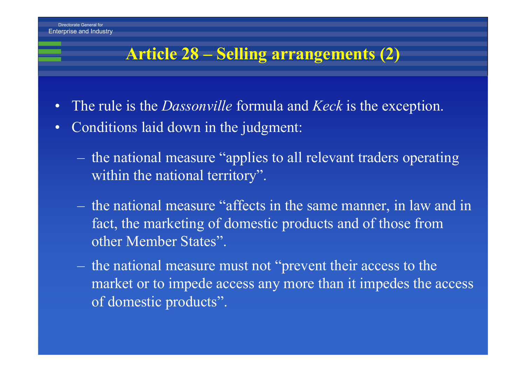# **Article 28 – Selling arrangements (2)**

- •The rule is the *Dassonville* formula and *Keck* is the exception.
- $\bullet$  Conditions laid down in the judgment:
	- $\mathcal{L}_{\mathcal{A}}$  the national measure "applies to all relevant traders operating within the national territory".
	- the national measure "affects in the same manner, in law and in fact, the marketing of domestic products and of those from other Member States".
	- the national measure must not "prevent their access to the market or to impede access any more than it impedes the access of domestic products".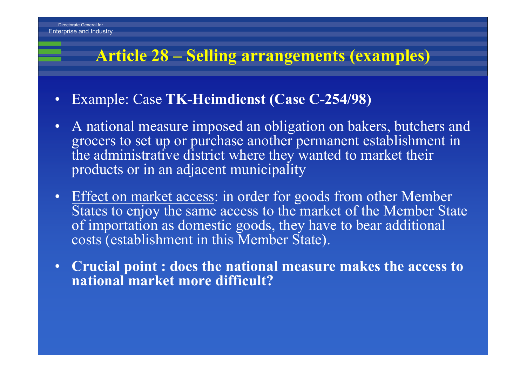# **Article 28 – Selling arrangements (examples)**

- $\bullet$ Example: Case **TK-Heimdienst (Case C-254/98)**
- $\bullet$  A national measure imposed an obligation on bakers, butchers and grocers to set up or purchase another permanent establishment in the administrative district where they wanted to market their products or in an adjacent municipality
- $\bullet$  Effect on market access: in order for goods from other Member States to enjoy the same access to the market of the Member State of importation as domestic goods, they have to bear additional costs (establishment in this Member State).
- **Crucial point : does the national measure makes the access to national market more difficult?**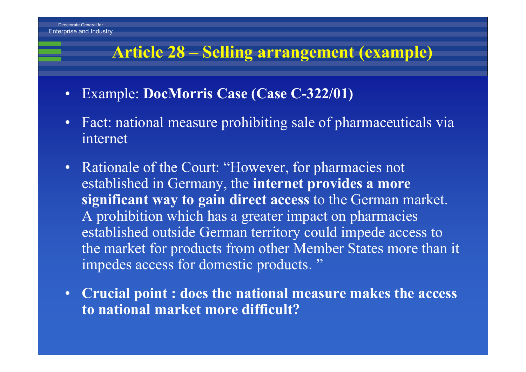## **Article 28 – Selling arrangement (example)**

- $\bullet$ **Example: DocMorris Case (Case C-322/01)**
- Fact: national measure prohibiting sale of pharmaceuticals via internet
- Rationale of the Court: "However, for pharmacies not established in Germany, the **internet provides a more significant way to gain direct access** to the German market. A prohibition which has a greater impact on pharmacies established outside German territory could impede access to the market for products from other Member States more than it impedes access for domestic products."
- **Crucial point : does the national measure makes the access to national market more difficult?**